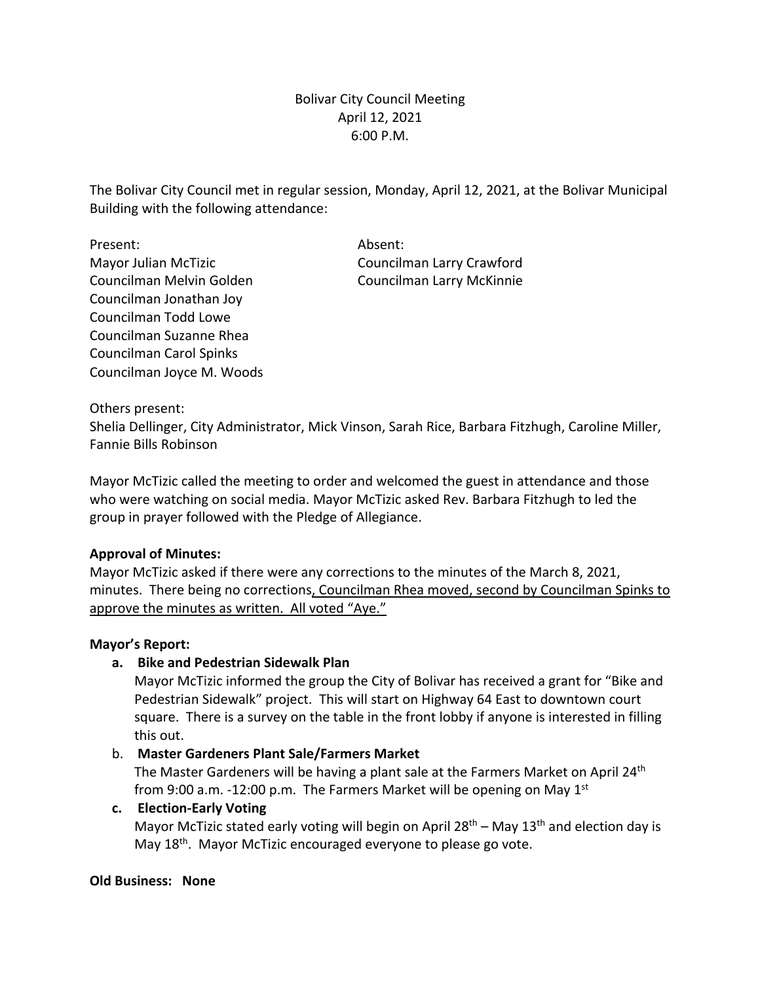# Bolivar City Council Meeting April 12, 2021 6:00 P.M.

The Bolivar City Council met in regular session, Monday, April 12, 2021, at the Bolivar Municipal Building with the following attendance:

Present: Absent: Mayor Julian McTizic Councilman Larry Crawford Councilman Melvin Golden Councilman Larry McKinnie Councilman Jonathan Joy Councilman Todd Lowe Councilman Suzanne Rhea Councilman Carol Spinks Councilman Joyce M. Woods

Others present:

Shelia Dellinger, City Administrator, Mick Vinson, Sarah Rice, Barbara Fitzhugh, Caroline Miller, Fannie Bills Robinson

Mayor McTizic called the meeting to order and welcomed the guest in attendance and those who were watching on social media. Mayor McTizic asked Rev. Barbara Fitzhugh to led the group in prayer followed with the Pledge of Allegiance.

## **Approval of Minutes:**

Mayor McTizic asked if there were any corrections to the minutes of the March 8, 2021, minutes. There being no corrections, Councilman Rhea moved, second by Councilman Spinks to approve the minutes as written. All voted "Aye."

#### **Mayor's Report:**

## **a. Bike and Pedestrian Sidewalk Plan**

Mayor McTizic informed the group the City of Bolivar has received a grant for "Bike and Pedestrian Sidewalk" project. This will start on Highway 64 East to downtown court square. There is a survey on the table in the front lobby if anyone is interested in filling this out.

## b. **Master Gardeners Plant Sale/Farmers Market**

The Master Gardeners will be having a plant sale at the Farmers Market on April 24<sup>th</sup> from 9:00 a.m. -12:00 p.m. The Farmers Market will be opening on May  $1<sup>st</sup>$ 

#### **c. Election-Early Voting**

Mayor McTizic stated early voting will begin on April  $28<sup>th</sup>$  – May  $13<sup>th</sup>$  and election day is May 18<sup>th</sup>. Mayor McTizic encouraged everyone to please go vote.

#### **Old Business: None**